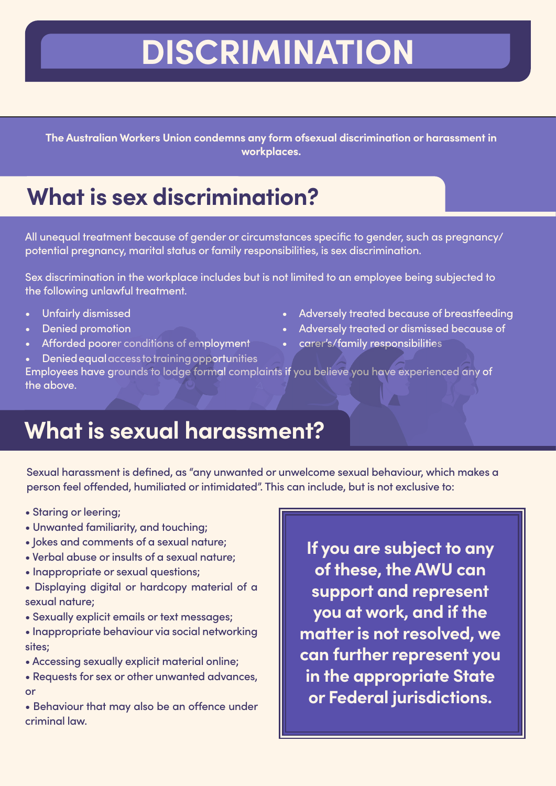# **DISCRIMINATION**

**The Australian Workers Union condemns any form ofsexual discrimination or harassment in workplaces.**

## **What is sex discrimination?**

All unequal treatment because of gender or circumstances specific to gender, such as pregnancy/ potential pregnancy, marital status or family responsibilities, is sex discrimination.

Sex discrimination in the workplace includes but is not limited to an employee being subjected to the following unlawful treatment.

- Unfairly dismissed
- Denied promotion
- Afforded poorer conditions of employment
- Denied equal access to training opportunities
- Adversely treated because of breastfeeding
- Adversely treated or dismissed because of
- carer's/family responsibilities

Employees have grounds to lodge formal complaints if you believe you have experienced any of the above.

## **What is sexual harassment?**

Sexual harassment is defined, as "any unwanted or unwelcome sexual behaviour, which makes a person feel offended, humiliated or intimidated". This can include, but is not exclusive to:

- Staring or leering;
- Unwanted familiarity, and touching;
- Jokes and comments of a sexual nature;
- Verbal abuse or insults of a sexual nature;
- Inappropriate or sexual questions;
- Displaying digital or hardcopy material of a sexual nature;
- Sexually explicit emails or text messages;
- Inappropriate behaviour via social networking sites;
- Accessing sexually explicit material online;
- Requests for sex or other unwanted advances, or
- Behaviour that may also be an offence under criminal law.

**If you are subject to any of these, the AWU can support and represent you at work, and if the matter is not resolved, we can further represent you in the appropriate State or Federal jurisdictions.**